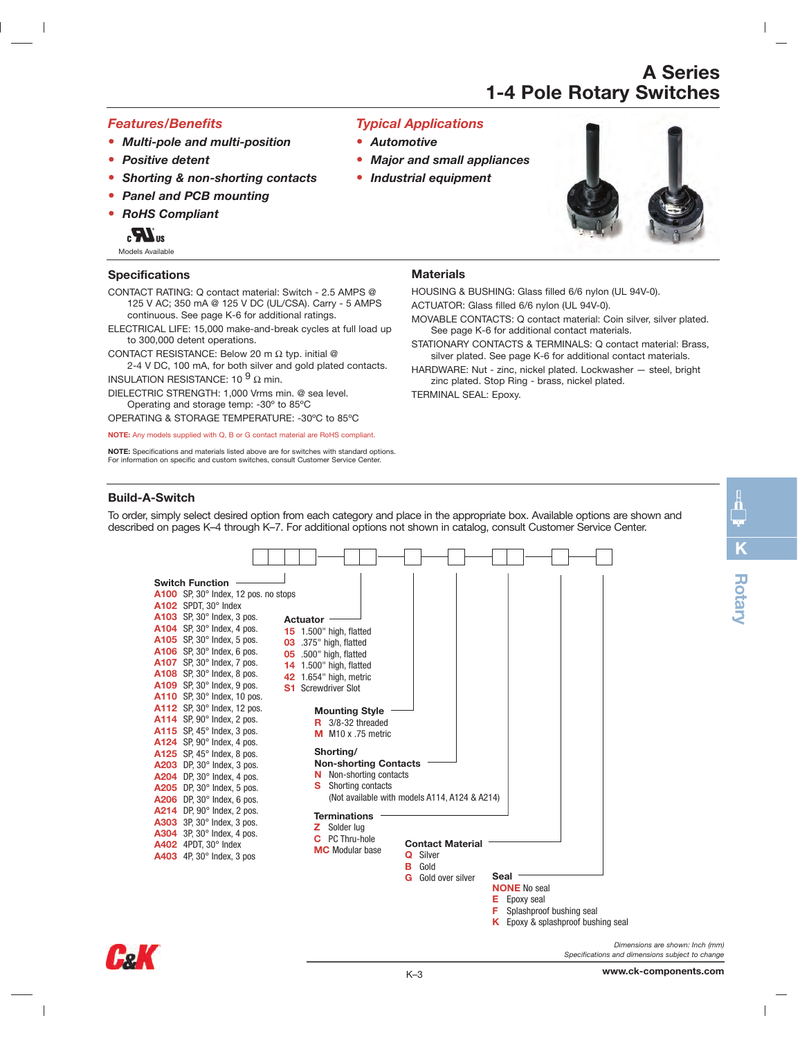### *Features/Benefits*

- **•** *Multi-pole and multi-position*
- **•** *Positive detent*
- **•** *Shorting & non-shorting contacts*
- **•** *Panel and PCB mounting*

to 300,000 detent operations.

INSULATION RESISTANCE: 10  $^{9}$   $\Omega$  min.

**•** *RoHS Compliant*



**Specifications**

Models Available

### *Typical Applications*

- **•** *Automotive*
- **•** *Major and small appliances*
- **•** *Industrial equipment*



### **Materials**

HOUSING & BUSHING: Glass filled 6/6 nylon (UL 94V-0).

- ACTUATOR: Glass filled 6/6 nylon (UL 94V-0).
- MOVABLE CONTACTS: Q contact material: Coin silver, silver plated. See page K-6 for additional contact materials.
- STATIONARY CONTACTS & TERMINALS: Q contact material: Brass, silver plated. See page K-6 for additional contact materials.
- HARDWARE: Nut zinc, nickel plated. Lockwasher steel, bright zinc plated. Stop Ring - brass, nickel plated.
- DIELECTRIC STRENGTH: 1,000 Vrms min. @ sea level. Operating and storage temp: -30º to 85ºC

CONTACT RESISTANCE: Below 20 m Ω typ. initial @

OPERATING & STORAGE TEMPERATURE: -30ºC to 85ºC

**NOTE:** Any models supplied with Q, B or G contact material are RoHS compliant.

CONTACT RATING: Q contact material: Switch - 2.5 AMPS @ 125 V AC; 350 mA @ 125 V DC (UL/CSA). Carry - 5 AMPS

continuous. See page K-6 for additional ratings. ELECTRICAL LIFE: 15,000 make-and-break cycles at full load up

**NOTE:** Specifications and materials listed above are for switches with standard options. For information on specific and custom switches, consult Customer Service Center.

2-4 V DC, 100 mA, for both silver and gold plated contacts.

TERMINAL SEAL: Epoxy.

### **Build-A-Switch**

To order, simply select desired option from each category and place in the appropriate box. Available options are shown and described on pages K–4 through K–7. For additional options not shown in catalog, consult Customer Service Center.





**K**

**Rotary**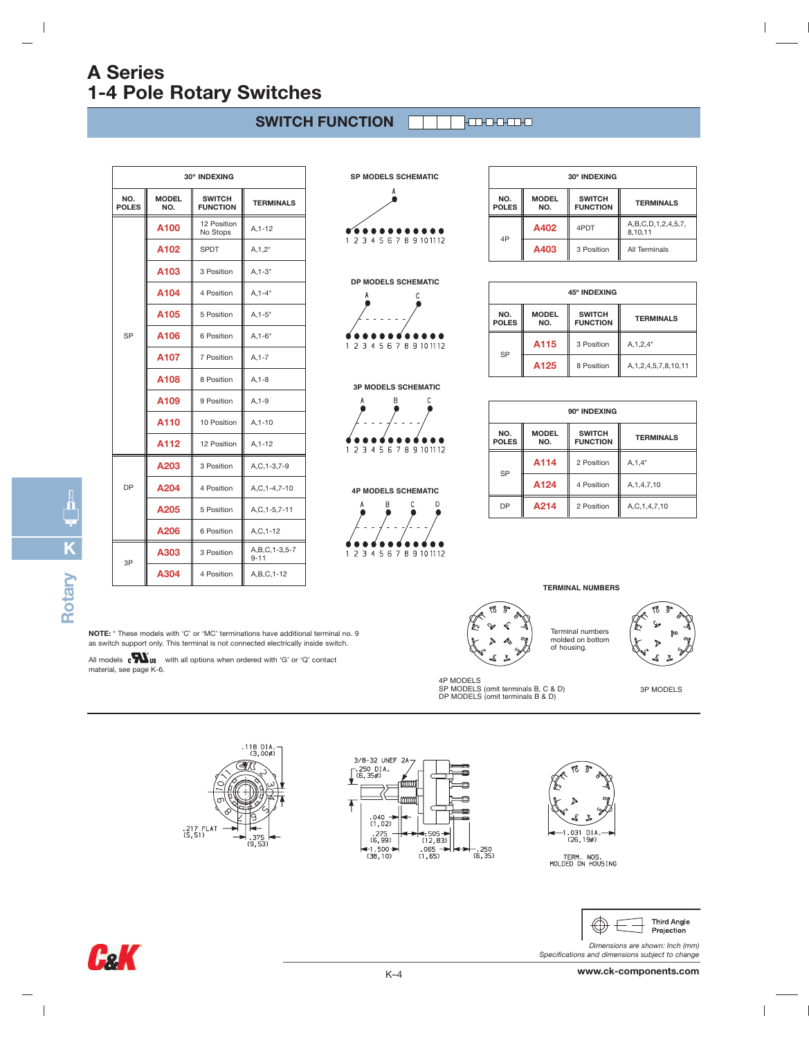#### **SWITCH FUNCTION Fancean**

| 30° INDEXING        |                     |                                  |                               |  |
|---------------------|---------------------|----------------------------------|-------------------------------|--|
| NO.<br><b>POLES</b> | <b>MODEL</b><br>NO. | <b>SWITCH</b><br><b>FUNCTION</b> | <b>TERMINALS</b>              |  |
|                     | A <sub>100</sub>    | 12 Position<br>No Stops          | $A.1 - 12$                    |  |
|                     | A <sub>102</sub>    | <b>SPDT</b>                      | $A, 1, 2^*$                   |  |
|                     | A <sub>103</sub>    | 3 Position                       | $A, 1-3*$                     |  |
|                     | A <sub>104</sub>    | 4 Position                       | $A, 1 - 4*$                   |  |
| <b>SP</b>           | A <sub>105</sub>    | 5 Position                       | $A, 1 - 5*$                   |  |
|                     | A106                | 6 Position                       | $A, 1 - 6*$                   |  |
|                     | A107                | 7 Position                       | $A, 1 - 7$                    |  |
|                     | A <sub>108</sub>    | 8 Position                       | $A, 1-8$                      |  |
|                     | A109                | 9 Position                       | $A, 1-9$                      |  |
|                     | A110                | 10 Position                      | $A, 1 - 10$                   |  |
|                     | A112                | 12 Position                      | $A.1 - 12$                    |  |
|                     | A203                | 3 Position                       | A,C,1-3,7-9                   |  |
| <b>DP</b>           | A204                | 4 Position                       | A,C,1-4,7-10                  |  |
|                     | A205                | 5 Position                       | A,C,1-5,7-11                  |  |
|                     | A206                | 6 Position                       | $A, C, 1-12$                  |  |
|                     | A303                | 3 Position                       | A, B, C, 1-3, 5-7<br>$9 - 11$ |  |
| 3P                  | A304                | 4 Position                       | A, B, C, 1-12                 |  |

**SP MODELS SCHEMATIC**  $\bullet$ 1 2 3 4 5 6 7 8 9 10 11 12

### **DP MODELS SCHEMATIC**





 $\tilde{C}$ 

$$
\begin{array}{c}\n 2 \\
\hline\n 12345678910112\n \end{array}
$$

 $\overline{A}$ 

4P MODELS SCHEMATIC  
\n
$$
\uparrow
$$
\n
$$
\uparrow
$$
\n
$$
\uparrow
$$
\n
$$
\uparrow
$$
\n
$$
\uparrow
$$
\n
$$
\uparrow
$$
\n
$$
\uparrow
$$
\n
$$
\uparrow
$$
\n
$$
\uparrow
$$
\n
$$
\uparrow
$$
\n
$$
\uparrow
$$
\n
$$
\uparrow
$$
\n
$$
\uparrow
$$
\n
$$
\uparrow
$$
\n
$$
\uparrow
$$
\n
$$
\uparrow
$$
\n
$$
\uparrow
$$
\n
$$
\uparrow
$$
\n
$$
\uparrow
$$
\n
$$
\uparrow
$$
\n
$$
\uparrow
$$
\n
$$
\uparrow
$$
\n
$$
\uparrow
$$
\n
$$
\uparrow
$$
\n
$$
\uparrow
$$
\n
$$
\uparrow
$$
\n
$$
\uparrow
$$
\n
$$
\uparrow
$$
\n
$$
\uparrow
$$
\n
$$
\uparrow
$$
\n
$$
\uparrow
$$
\n
$$
\uparrow
$$
\n
$$
\uparrow
$$
\n
$$
\uparrow
$$
\n
$$
\uparrow
$$
\n
$$
\uparrow
$$
\n
$$
\uparrow
$$
\n
$$
\uparrow
$$
\n
$$
\uparrow
$$
\n
$$
\uparrow
$$
\n
$$
\uparrow
$$
\n
$$
\uparrow
$$
\n
$$
\uparrow
$$
\n
$$
\uparrow
$$
\n
$$
\uparrow
$$
\n
$$
\uparrow
$$
\n
$$
\uparrow
$$
\n
$$
\uparrow
$$
\n
$$
\uparrow
$$
\n
$$
\uparrow
$$
\n
$$
\uparrow
$$
\n
$$
\uparrow
$$
\n
$$
\uparrow
$$
\n
$$
\uparrow
$$
\n
$$
\uparrow
$$
\n
$$
\uparrow
$$
\n
$$
\uparrow
$$
\n
$$
\uparrow
$$
\n
$$
\uparrow
$$
\n
$$
\uparrow
$$
\n
$$
\uparrow
$$
\n
$$
\uparrow
$$
\n
$$
\uparrow
$$
\

| 30° INDEXING        |                     |                                  |                               |
|---------------------|---------------------|----------------------------------|-------------------------------|
| NO.<br><b>POLES</b> | <b>MODEL</b><br>NO. | <b>SWITCH</b><br><b>FUNCTION</b> | <b>TERMINALS</b>              |
| 4P                  | A402                | 4PDT                             | A,B,C,D,1,2,4,5,7,<br>8,10,11 |
|                     | A403                | 3 Position                       | All Terminals                 |

 $\overline{\phantom{a}}$ 

| 45° INDEXING        |                     |                                  |                             |
|---------------------|---------------------|----------------------------------|-----------------------------|
| NO.<br><b>POLES</b> | <b>MODEL</b><br>NO. | <b>SWITCH</b><br><b>FUNCTION</b> | <b>TERMINALS</b><br>        |
| SP                  | A115                | 3 Position                       | $A, 1, 2, 4^*$              |
|                     | A <sub>125</sub>    | 8 Position                       | A, 1, 2, 4, 5, 7, 8, 10, 11 |

| 90° INDEXING             |                     |                                                      |                |
|--------------------------|---------------------|------------------------------------------------------|----------------|
| NO.<br><b>POLES</b>      | <b>MODEL</b><br>NO. | <b>SWITCH</b><br><b>TERMINALS</b><br><b>FUNCTION</b> |                |
| <b>SP</b>                | A114                | 2 Position                                           | $A, 1, 4^*$    |
|                          | A124                | 4 Position                                           | A, 1, 4, 7, 10 |
| A214<br>DP<br>2 Position |                     | A,C,1,4,7,10                                         |                |

**TERMINAL NUMBERS**

Terminal numbers molded on bottom of housing.

# **KRotary**

 $\overline{\phantom{a}}$ 

**NOTE:** \* These models with 'C' or 'MC' terminations have additional terminal no. 9 as switch support only. This terminal is not connected electrically inside switch.

All models coming us with all options when ordered with 'G' or 'Q' contact<br>material, see page K-6.





K–4



4P MODELS SP MODELS (omit terminals B, C & D) DP MODELS (omit terminals B & D)

TERM. NOS.<br>MOLDED ON HOUSING



3P MODELS

*Dimensions are shown: Inch (mm) Specifications and dimensions subject to change*

**GaK** 

 $\overline{\phantom{a}}$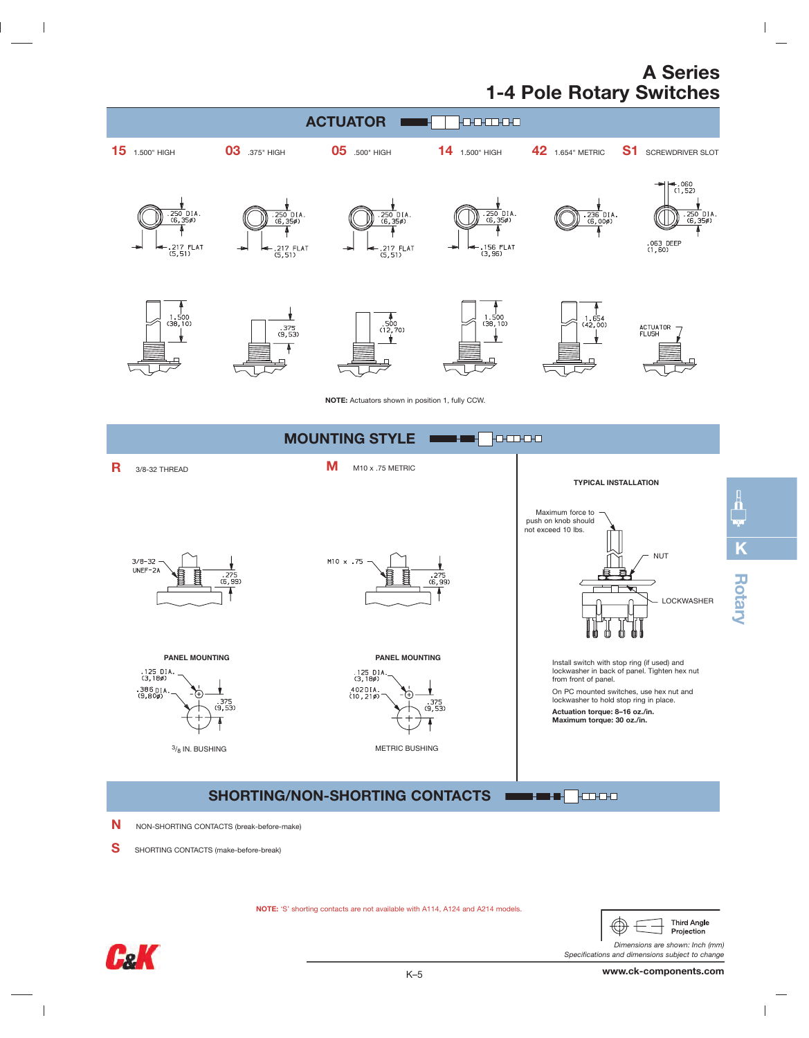

S SHORTING CONTACTS (make-before-break)

**NOTE:** 'S' shorting contacts are not available with A114, A124 and A214 models.



**K**

 $\begin{array}{c} \hline \end{array}$ 

*Dimensions are shown: Inch (mm) Specifications and dimensions subject to change*



 $\overline{\phantom{a}}$ 

 $\mathbb{R}^n$ 

 $\mathcal{A}$ 

**www.ck-components.com**

 $\overline{1}$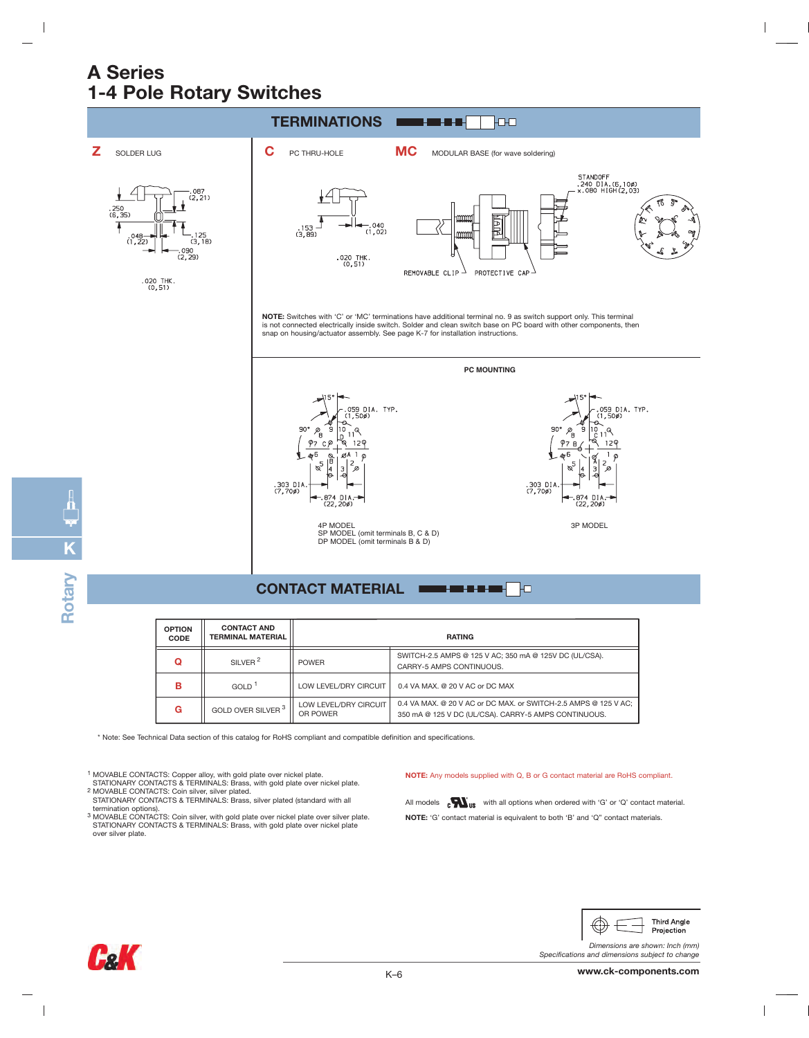

### **CONTACT MATERIAL**

| <b>OPTION</b><br><b>CODE</b> | <b>CONTACT AND</b><br><b>TERMINAL MATERIAL</b> | <b>RATING</b>                     |                                                                                                                         |
|------------------------------|------------------------------------------------|-----------------------------------|-------------------------------------------------------------------------------------------------------------------------|
| Q                            | SII VFR <sup>2</sup>                           | <b>POWER</b>                      | SWITCH-2.5 AMPS @ 125 V AC; 350 mA @ 125V DC (UL/CSA).<br>CARRY-5 AMPS CONTINUOUS.                                      |
| в                            | GOLD <sup>1</sup>                              | LOW LEVEL/DRY CIRCUIT             | 0.4 VA MAX, @ 20 V AC or DC MAX                                                                                         |
| G                            | GOLD OVER SILVER 3 1                           | LOW LEVEL/DRY CIRCUIT<br>OR POWER | 0.4 VA MAX, @ 20 V AC or DC MAX, or SWITCH-2.5 AMPS @ 125 V AC:<br>350 mA @ 125 V DC (UL/CSA). CARRY-5 AMPS CONTINUOUS. |

\* Note: See Technical Data section of this catalog for RoHS compliant and compatible definition and specifications.

<sup>1</sup> MOVABLE CONTACTS: Copper alloy, with gold plate over nickel plate.<br>STATIONARY CONTACTS & TERMINALS: Brass, with gold plate over nickel plate.<br><sup>2</sup> MOVABLE CONTACTS: Coin silver, silver plated.<br>STATIONARY CONTACTS & TERM

- 
- termination options). 3 MOVABLE CONTACTS: Coin silver, with gold plate over nickel plate over silver plate. STATIONARY CONTACTS & TERMINALS: Brass, with gold plate over nickel plate over silver plate.

#### **NOTE:** Any models supplied with Q, B or G contact material are RoHS compliant.

All models  $\mathbf{c}$   $\mathbf{W}_{\text{us}}$  with all options when ordered with 'G' or 'Q' contact material. **NOTE:** 'G' contact material is equivalent to both 'B' and 'Q" contact materials.



 $\overline{\phantom{a}}$ 

*Dimensions are shown: Inch (mm) Specifications and dimensions subject to change*



 $\overline{\phantom{a}}$ 

**K**

 $\overline{\phantom{a}}$ 

**Rotary**